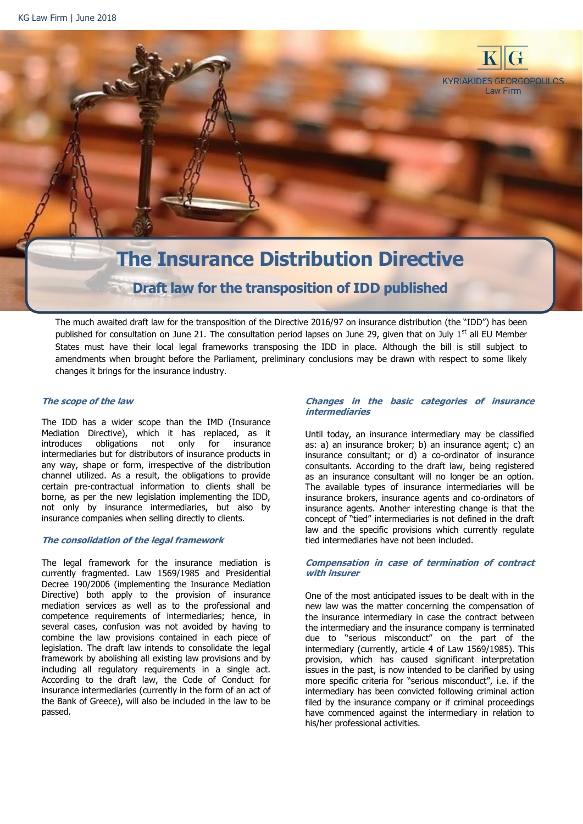

The much awaited draft law for the transposition of the Directive 2016/97 on insurance distribution (the "IDD") has been published for consultation on June 21. The consultation period lapses on June 29, given that on July  $1<sup>st</sup>$  all EU Member States must have their local legal frameworks transposing the IDD in place. Although the bill is still subject to amendments when brought before the Parliament, preliminary conclusions may be drawn with respect to some likely changes it brings for the insurance industry.

# **The scope of the law**

The IDD has a wider scope than the IMD (Insurance Mediation Directive), which it has replaced, as it introduces obligations not only for insurance intermediaries but for distributors of insurance products in any way, shape or form, irrespective of the distribution channel utilized. As a result, the obligations to provide certain pre-contractual information to clients shall be borne, as per the new legislation implementing the IDD, not only by insurance intermediaries, but also by insurance companies when selling directly to clients.

### **The consolidation of the legal framework**

The legal framework for the insurance mediation is currently fragmented. Law 1569/1985 and Presidential Decree 190/2006 (implementing the Insurance Mediation Directive) both apply to the provision of insurance mediation services as well as to the professional and competence requirements of intermediaries; hence, in several cases, confusion was not avoided by having to combine the law provisions contained in each piece of legislation. The draft law intends to consolidate the legal framework by abolishing all existing law provisions and by including all regulatory requirements in a single act. According to the draft law, the Code of Conduct for insurance intermediaries (currently in the form of an act of the Bank of Greece), will also be included in the law to be passed.

## **Changes in the basic categories of insurance intermediaries**

Until today, an insurance intermediary may be classified as: a) an insurance broker; b) an insurance agent; c) an insurance consultant; or d) a co-ordinator of insurance consultants. According to the draft law, being registered as an insurance consultant will no longer be an option. The available types of insurance intermediaries will be insurance brokers, insurance agents and co-ordinators of insurance agents. Another interesting change is that the concept of "tied" intermediaries is not defined in the draft law and the specific provisions which currently regulate tied intermediaries have not been included.

## **Compensation in case of termination of contract with insurer**

One of the most anticipated issues to be dealt with in the new law was the matter concerning the compensation of the insurance intermediary in case the contract between the intermediary and the insurance company is terminated due to "serious misconduct" on the part of the intermediary (currently, article 4 of Law 1569/1985). This provision, which has caused significant interpretation issues in the past, is now intended to be clarified by using more specific criteria for "serious misconduct", i.e. if the intermediary has been convicted following criminal action filed by the insurance company or if criminal proceedings have commenced against the intermediary in relation to his/her professional activities.